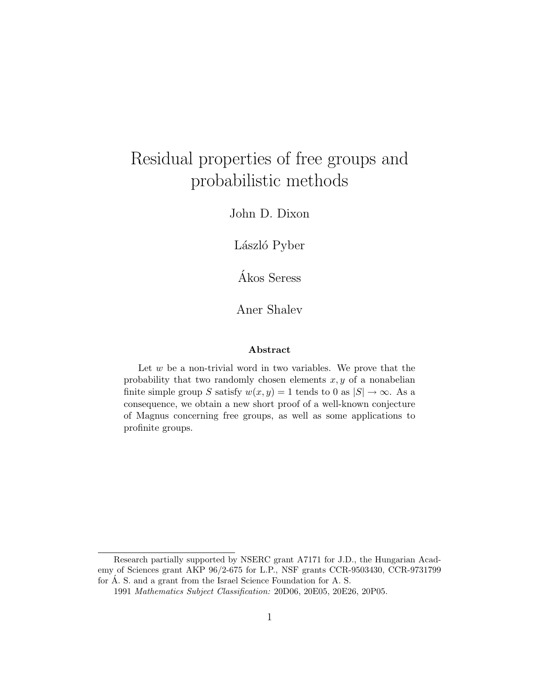# Residual properties of free groups and probabilistic methods

John D. Dixon

László Pyber

Akos Seress ´

Aner Shalev

#### Abstract

Let  $w$  be a non-trivial word in two variables. We prove that the probability that two randomly chosen elements  $x, y$  of a nonabelian finite simple group S satisfy  $w(x, y) = 1$  tends to 0 as  $|S| \to \infty$ . As a consequence, we obtain a new short proof of a well-known conjecture of Magnus concerning free groups, as well as some applications to profinite groups.

Research partially supported by NSERC grant A7171 for J.D., the Hungarian Academy of Sciences grant AKP 96/2-675 for L.P., NSF grants CCR-9503430, CCR-9731799 for  $\AA$ . S. and a grant from the Israel Science Foundation for A. S.

<sup>1991</sup> Mathematics Subject Classification: 20D06, 20E05, 20E26, 20P05.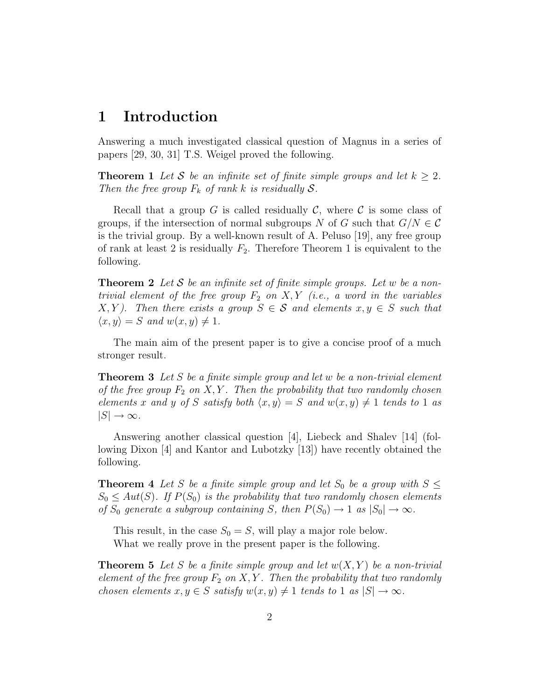### 1 Introduction

Answering a much investigated classical question of Magnus in a series of papers [29, 30, 31] T.S. Weigel proved the following.

**Theorem 1** Let S be an infinite set of finite simple groups and let  $k \geq 2$ . Then the free group  $F_k$  of rank k is residually  $S$ .

Recall that a group G is called residually C, where C is some class of groups, if the intersection of normal subgroups N of G such that  $G/N \in \mathcal{C}$ is the trivial group. By a well-known result of A. Peluso [19], any free group of rank at least 2 is residually  $F_2$ . Therefore Theorem 1 is equivalent to the following.

**Theorem 2** Let S be an infinite set of finite simple groups. Let w be a nontrivial element of the free group  $F_2$  on  $X, Y$  (i.e., a word in the variables  $X, Y$ ). Then there exists a group  $S \in \mathcal{S}$  and elements  $x, y \in S$  such that  $\langle x, y \rangle = S$  and  $w(x, y) \neq 1$ .

The main aim of the present paper is to give a concise proof of a much stronger result.

**Theorem 3** Let S be a finite simple group and let w be a non-trivial element of the free group  $F_2$  on  $X, Y$ . Then the probability that two randomly chosen elements x and y of S satisfy both  $\langle x, y \rangle = S$  and  $w(x, y) \neq 1$  tends to 1 as  $|S| \to \infty$ .

Answering another classical question [4], Liebeck and Shalev [14] (following Dixon [4] and Kantor and Lubotzky [13]) have recently obtained the following.

**Theorem 4** Let S be a finite simple group and let  $S_0$  be a group with  $S \leq$  $S_0 \leq Aut(S)$ . If  $P(S_0)$  is the probability that two randomly chosen elements of  $S_0$  generate a subgroup containing S, then  $P(S_0) \to 1$  as  $|S_0| \to \infty$ .

This result, in the case  $S_0 = S$ , will play a major role below. What we really prove in the present paper is the following.

**Theorem 5** Let S be a finite simple group and let  $w(X, Y)$  be a non-trivial element of the free group  $F_2$  on  $X, Y$ . Then the probability that two randomly chosen elements  $x, y \in S$  satisfy  $w(x, y) \neq 1$  tends to 1 as  $|S| \to \infty$ .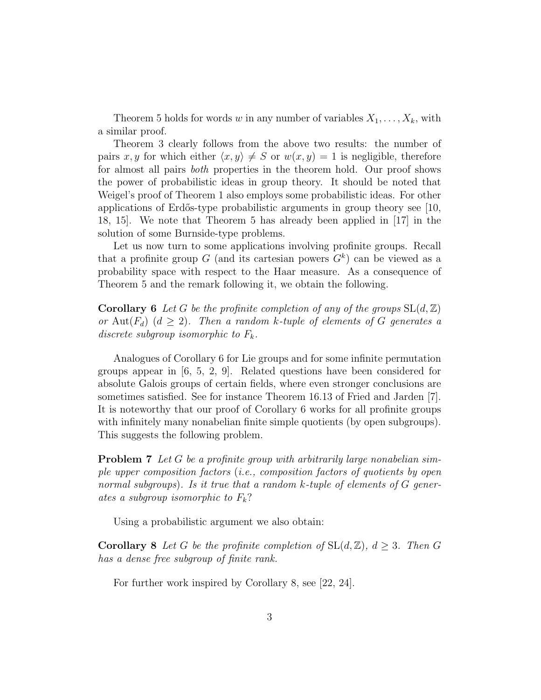Theorem 5 holds for words w in any number of variables  $X_1, \ldots, X_k$ , with a similar proof.

Theorem 3 clearly follows from the above two results: the number of pairs x, y for which either  $\langle x, y \rangle \neq S$  or  $w(x, y) = 1$  is negligible, therefore for almost all pairs both properties in the theorem hold. Our proof shows the power of probabilistic ideas in group theory. It should be noted that Weigel's proof of Theorem 1 also employs some probabilistic ideas. For other applications of Erdős-type probabilistic arguments in group theory see  $[10,$ 18, 15]. We note that Theorem 5 has already been applied in [17] in the solution of some Burnside-type problems.

Let us now turn to some applications involving profinite groups. Recall that a profinite group G (and its cartesian powers  $G<sup>k</sup>$ ) can be viewed as a probability space with respect to the Haar measure. As a consequence of Theorem 5 and the remark following it, we obtain the following.

**Corollary 6** Let G be the profinite completion of any of the groups  $SL(d, \mathbb{Z})$ or Aut $(F_d)$   $(d \geq 2)$ . Then a random k-tuple of elements of G generates a discrete subgroup isomorphic to  $F_k$ .

Analogues of Corollary 6 for Lie groups and for some infinite permutation groups appear in  $[6, 5, 2, 9]$ . Related questions have been considered for absolute Galois groups of certain fields, where even stronger conclusions are sometimes satisfied. See for instance Theorem 16.13 of Fried and Jarden [7]. It is noteworthy that our proof of Corollary 6 works for all profinite groups with infinitely many nonabelian finite simple quotients (by open subgroups). This suggests the following problem.

**Problem 7** Let G be a profinite group with arbitrarily large nonabelian simple upper composition factors (i.e., composition factors of quotients by open normal subgroups). Is it true that a random  $k$ -tuple of elements of  $G$  generates a subgroup isomorphic to  $F_k$ ?

Using a probabilistic argument we also obtain:

**Corollary 8** Let G be the profinite completion of  $SL(d, \mathbb{Z})$ ,  $d \geq 3$ . Then G has a dense free subgroup of finite rank.

For further work inspired by Corollary 8, see [22, 24].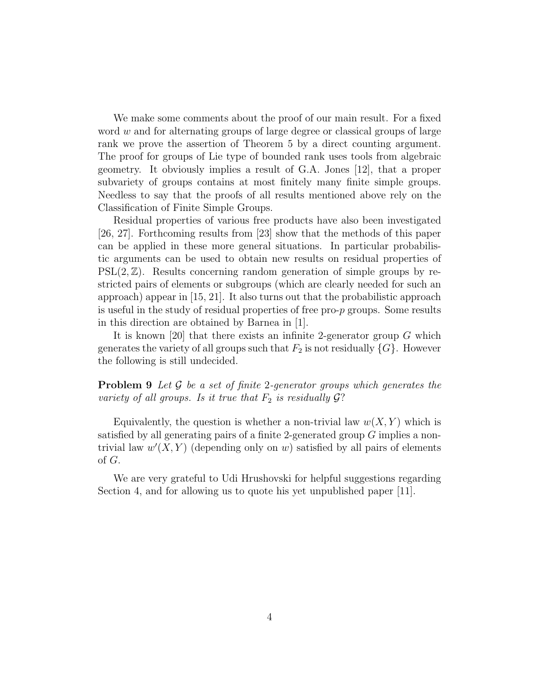We make some comments about the proof of our main result. For a fixed word  $w$  and for alternating groups of large degree or classical groups of large rank we prove the assertion of Theorem 5 by a direct counting argument. The proof for groups of Lie type of bounded rank uses tools from algebraic geometry. It obviously implies a result of G.A. Jones [12], that a proper subvariety of groups contains at most finitely many finite simple groups. Needless to say that the proofs of all results mentioned above rely on the Classification of Finite Simple Groups.

Residual properties of various free products have also been investigated [26, 27]. Forthcoming results from [23] show that the methods of this paper can be applied in these more general situations. In particular probabilistic arguments can be used to obtain new results on residual properties of  $PSL(2,\mathbb{Z})$ . Results concerning random generation of simple groups by restricted pairs of elements or subgroups (which are clearly needed for such an approach) appear in [15, 21]. It also turns out that the probabilistic approach is useful in the study of residual properties of free pro-p groups. Some results in this direction are obtained by Barnea in [1].

It is known [20] that there exists an infinite 2-generator group  $G$  which generates the variety of all groups such that  $F_2$  is not residually  $\{G\}$ . However the following is still undecided.

**Problem 9** Let  $\mathcal G$  be a set of finite 2-generator groups which generates the variety of all groups. Is it true that  $F_2$  is residually  $\mathcal{G}$ ?

Equivalently, the question is whether a non-trivial law  $w(X, Y)$  which is satisfied by all generating pairs of a finite 2-generated group G implies a nontrivial law  $w'(X, Y)$  (depending only on w) satisfied by all pairs of elements of G.

We are very grateful to Udi Hrushovski for helpful suggestions regarding Section 4, and for allowing us to quote his yet unpublished paper [11].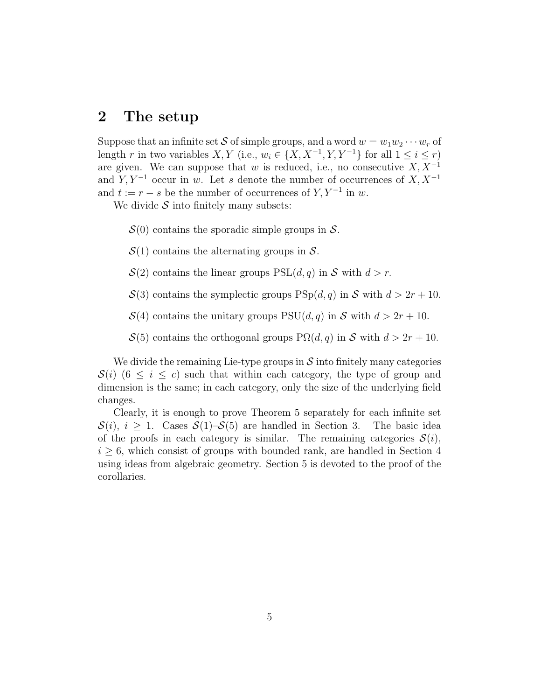### 2 The setup

Suppose that an infinite set S of simple groups, and a word  $w = w_1w_2\cdots w_r$  of length r in two variables  $X, Y$  (i.e.,  $w_i \in \{X, X^{-1}, Y, Y^{-1}\}$  for all  $1 \le i \le r$ ) are given. We can suppose that w is reduced, i.e., no consecutive  $X, X^{-1}$ and  $Y, Y^{-1}$  occur in w. Let s denote the number of occurrences of  $X, X^{-1}$ and  $t := r - s$  be the number of occurrences of  $Y, Y^{-1}$  in w.

We divide  $S$  into finitely many subsets:

 $S(0)$  contains the sporadic simple groups in S.

 $\mathcal{S}(1)$  contains the alternating groups in  $\mathcal{S}.$ 

 $\mathcal{S}(2)$  contains the linear groups  $PSL(d,q)$  in S with  $d > r$ .

 $\mathcal{S}(3)$  contains the symplectic groups  $\text{PSp}(d, q)$  in S with  $d > 2r + 10$ .

 $\mathcal{S}(4)$  contains the unitary groups  $PSU(d, q)$  in S with  $d > 2r + 10$ .

 $\mathcal{S}(5)$  contains the orthogonal groups  $P\Omega(d,q)$  in S with  $d > 2r + 10$ .

We divide the remaining Lie-type groups in  $\mathcal S$  into finitely many categories  $\mathcal{S}(i)$  (6  $\leq i \leq c$ ) such that within each category, the type of group and dimension is the same; in each category, only the size of the underlying field changes.

Clearly, it is enough to prove Theorem 5 separately for each infinite set  $S(i), i \geq 1$ . Cases  $S(1)$ – $S(5)$  are handled in Section 3. The basic idea of the proofs in each category is similar. The remaining categories  $\mathcal{S}(i)$ ,  $i \geq 6$ , which consist of groups with bounded rank, are handled in Section 4 using ideas from algebraic geometry. Section 5 is devoted to the proof of the corollaries.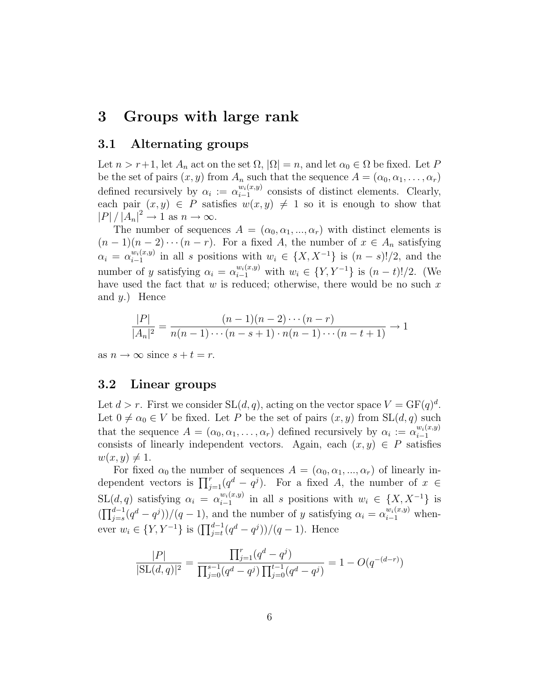# 3 Groups with large rank

### 3.1 Alternating groups

Let  $n > r+1$ , let  $A_n$  act on the set  $\Omega$ ,  $|\Omega| = n$ , and let  $\alpha_0 \in \Omega$  be fixed. Let P be the set of pairs  $(x, y)$  from  $A_n$  such that the sequence  $A = (\alpha_0, \alpha_1, \dots, \alpha_r)$ defined recursively by  $\alpha_i := \alpha_{i-1}^{w_i(x,y)}$  $\frac{w_i(x,y)}{i-1}$  consists of distinct elements. Clearly, each pair  $(x, y) \in P$  satisfies  $w(x, y) \neq 1$  so it is enough to show that  $|P|/|A_n|^2 \to 1$  as  $n \to \infty$ .

The number of sequences  $A = (\alpha_0, \alpha_1, ..., \alpha_r)$  with distinct elements is  $(n-1)(n-2)\cdots(n-r)$ . For a fixed A, the number of  $x \in A_n$  satisfying  $\alpha_i = \alpha_{i-1}^{w_i(x,y)}$  $\binom{w_i(x,y)}{i-1}$  in all s positions with  $w_i \in \{X, X^{-1}\}\$ is  $(n-s)!/2$ , and the number of y satisfying  $\alpha_i = \alpha_{i-1}^{w_i(x,y)}$  with  $w_i \in \{Y, Y^{-1}\}$  is  $(n-t)!/2$ . (We have used the fact that  $w$  is reduced; otherwise, there would be no such  $x$ and  $y$ .) Hence

$$
\frac{|P|}{|A_n|^2} = \frac{(n-1)(n-2)\cdots(n-r)}{n(n-1)\cdots(n-s+1)\cdot n(n-1)\cdots(n-t+1)} \to 1
$$

as  $n \to \infty$  since  $s + t = r$ .

### 3.2 Linear groups

Let  $d > r$ . First we consider  $SL(d, q)$ , acting on the vector space  $V = GF(q)^d$ . Let  $0 \neq \alpha_0 \in V$  be fixed. Let P be the set of pairs  $(x, y)$  from  $SL(d, q)$  such that the sequence  $A = (\alpha_0, \alpha_1, \dots, \alpha_r)$  defined recursively by  $\alpha_i := \alpha_{i-1}^{w_i(x,y)}$ i−1 consists of linearly independent vectors. Again, each  $(x, y) \in P$  satisfies  $w(x, y) \neq 1.$ 

For fixed  $\alpha_0$  the number of sequences  $A = (\alpha_0, \alpha_1, ..., \alpha_r)$  of linearly independent vectors is  $\prod_{j=1}^r (q^d - q^j)$ . For a fixed A, the number of  $x \in$  $SL(d, q)$  satisfying  $\alpha_i = \alpha_{i-1}^{w_i(x,y)}$  $\binom{w_i(x,y)}{i-1}$  in all s positions with  $w_i \in \{X, X^{-1}\}\$ is  $(\prod_{j=s}^{d-1}(q^d-q^j))/(q-1)$ , and the number of y satisfying  $\alpha_i = \alpha_{i-1}^{w_i(x,y)}$  whenever  $w_i \in \{Y, Y^{-1}\}$  is  $(\prod_{j=t}^{d-1} (q^d - q^j))/(q - 1)$ . Hence

$$
\frac{|P|}{|\text{SL}(d,q)|^2} = \frac{\prod_{j=1}^r (q^d - q^j)}{\prod_{j=0}^{s-1} (q^d - q^j) \prod_{j=0}^{t-1} (q^d - q^j)} = 1 - O(q^{-(d-r)})
$$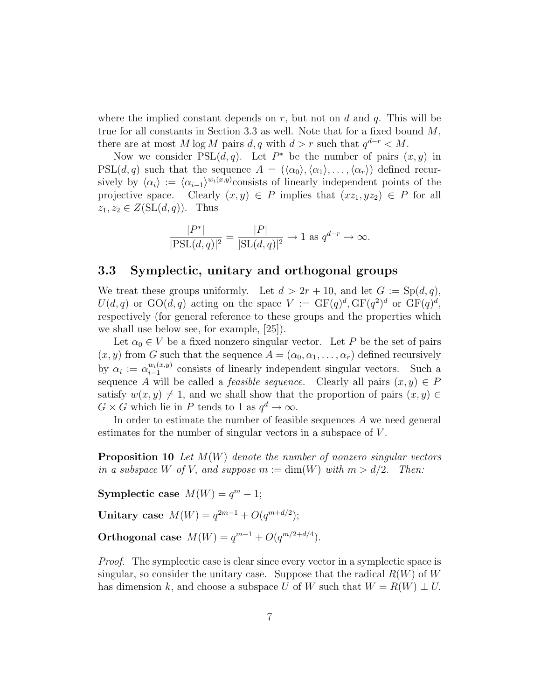where the implied constant depends on  $r$ , but not on  $d$  and  $q$ . This will be true for all constants in Section 3.3 as well. Note that for a fixed bound  $M$ , there are at most M log M pairs  $d, q$  with  $d > r$  such that  $q^{d-r} < M$ .

Now we consider  $PSL(d, q)$ . Let  $P^*$  be the number of pairs  $(x, y)$  in  $PSL(d, q)$  such that the sequence  $A = (\langle \alpha_0 \rangle, \langle \alpha_1 \rangle, \ldots, \langle \alpha_r \rangle)$  defined recursively by  $\langle \alpha_i \rangle := \langle \alpha_{i-1} \rangle^{w_i(x,y)}$ consists of linearly independent points of the projective space. Clearly  $(x, y) \in P$  implies that  $(xz_1, yz_2) \in P$  for all  $z_1, z_2 \in Z(\mathrm{SL}(d,q))$ . Thus

$$
\frac{|P^*|}{|\text{PSL}(d,q)|^2} = \frac{|P|}{|\text{SL}(d,q)|^2} \to 1 \text{ as } q^{d-r} \to \infty.
$$

#### 3.3 Symplectic, unitary and orthogonal groups

We treat these groups uniformly. Let  $d > 2r + 10$ , and let  $G := Sp(d, q)$ ,  $U(d,q)$  or  $\text{GO}(d,q)$  acting on the space  $V := \text{GF}(q)^d, \text{GF}(q^2)^d$  or  $\text{GF}(q)^d$ , respectively (for general reference to these groups and the properties which we shall use below see, for example, [25]).

Let  $\alpha_0 \in V$  be a fixed nonzero singular vector. Let P be the set of pairs  $(x, y)$  from G such that the sequence  $A = (\alpha_0, \alpha_1, \dots, \alpha_r)$  defined recursively by  $\alpha_i := \alpha_{i-1}^{w_i(x,y)}$  $\frac{w_i(x,y)}{i-1}$  consists of linearly independent singular vectors. Such a sequence A will be called a *feasible sequence*. Clearly all pairs  $(x, y) \in P$ satisfy  $w(x, y) \neq 1$ , and we shall show that the proportion of pairs  $(x, y) \in$  $G \times G$  which lie in P tends to 1 as  $q^d \to \infty$ .

In order to estimate the number of feasible sequences A we need general estimates for the number of singular vectors in a subspace of V .

**Proposition 10** Let  $M(W)$  denote the number of nonzero singular vectors in a subspace W of V, and suppose  $m := \dim(W)$  with  $m > d/2$ . Then:

Symplectic case  $M(W) = q<sup>m</sup> - 1$ ;

Unitary case  $M(W) = q^{2m-1} + O(q^{m+d/2});$ 

Orthogonal case  $M(W) = q^{m-1} + O(q^{m/2 + d/4}).$ 

Proof. The symplectic case is clear since every vector in a symplectic space is singular, so consider the unitary case. Suppose that the radical  $R(W)$  of W has dimension k, and choose a subspace U of W such that  $W = R(W) \perp U$ .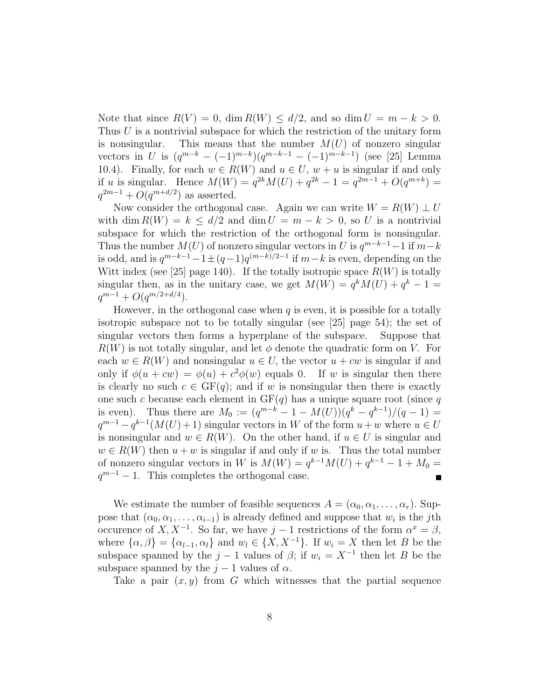Note that since  $R(V) = 0$ , dim  $R(W) \le d/2$ , and so dim  $U = m - k > 0$ . Thus  $U$  is a nontrivial subspace for which the restriction of the unitary form is nonsingular. This means that the number  $M(U)$  of nonzero singular vectors in U is  $(q^{m-k} - (-1)^{m-k})(q^{m-k-1} - (-1)^{m-k-1})$  (see [25] Lemma 10.4). Finally, for each  $w \in R(W)$  and  $u \in U$ ,  $w + u$  is singular if and only if u is singular. Hence  $M(W) = q^{2k}M(U) + q^{2k} - 1 = q^{2m-1} + O(q^{m+k}) =$  $q^{2m-1} + O(q^{m+d/2})$  as asserted.

Now consider the orthogonal case. Again we can write  $W = R(W) \perp U$ with dim  $R(W) = k \le d/2$  and dim  $U = m - k > 0$ , so U is a nontrivial subspace for which the restriction of the orthogonal form is nonsingular. Thus the number  $M(U)$  of nonzero singular vectors in U is  $q^{m-k-1}-1$  if  $m-k$ is odd, and is  $q^{m-k-1} - 1 \pm (q-1)q^{(m-k)/2-1}$  if  $m-k$  is even, depending on the Witt index (see [25] page 140). If the totally isotropic space  $R(W)$  is totally singular then, as in the unitary case, we get  $M(W) = q^{k} M(U) + q^{k} - 1 =$  $q^{m-1} + O(q^{m/2+d/4}).$ 

However, in the orthogonal case when  $q$  is even, it is possible for a totally isotropic subspace not to be totally singular (see [25] page 54); the set of singular vectors then forms a hyperplane of the subspace. Suppose that  $R(W)$  is not totally singular, and let  $\phi$  denote the quadratic form on V. For each  $w \in R(W)$  and nonsingular  $u \in U$ , the vector  $u + cw$  is singular if and only if  $\phi(u + cw) = \phi(u) + c^2\phi(w)$  equals 0. If w is singular then there is clearly no such  $c \in GF(q)$ ; and if w is nonsingular then there is exactly one such c because each element in  $GF(q)$  has a unique square root (since q is even). Thus there are  $M_0 := (q^{m-k} - 1 - M(U))(q^k - q^{k-1})/(q-1) =$  $q^{m-1} - q^{k-1}(M(U) + 1)$  singular vectors in W of the form  $u + w$  where  $u \in U$ is nonsingular and  $w \in R(W)$ . On the other hand, if  $u \in U$  is singular and  $w \in R(W)$  then  $u + w$  is singular if and only if w is. Thus the total number of nonzero singular vectors in W is  $M(W) = q^{k-1}M(U) + q^{k-1} - 1 + M_0 =$  $q^{m-1} - 1$ . This completes the orthogonal case.

We estimate the number of feasible sequences  $A = (\alpha_0, \alpha_1, \dots, \alpha_r)$ . Suppose that  $(\alpha_0, \alpha_1, \ldots, \alpha_{i-1})$  is already defined and suppose that  $w_i$  is the j<sup>th</sup> occurence of X,  $X^{-1}$ . So far, we have  $j-1$  restrictions of the form  $\alpha^x = \beta$ , where  $\{\alpha, \beta\} = \{\alpha_{l-1}, \alpha_l\}$  and  $w_l \in \{X, X^{-1}\}$ . If  $w_i = X$  then let B be the subspace spanned by the  $j-1$  values of  $\beta$ ; if  $w_i = X^{-1}$  then let B be the subspace spanned by the  $j - 1$  values of  $\alpha$ .

Take a pair  $(x, y)$  from G which witnesses that the partial sequence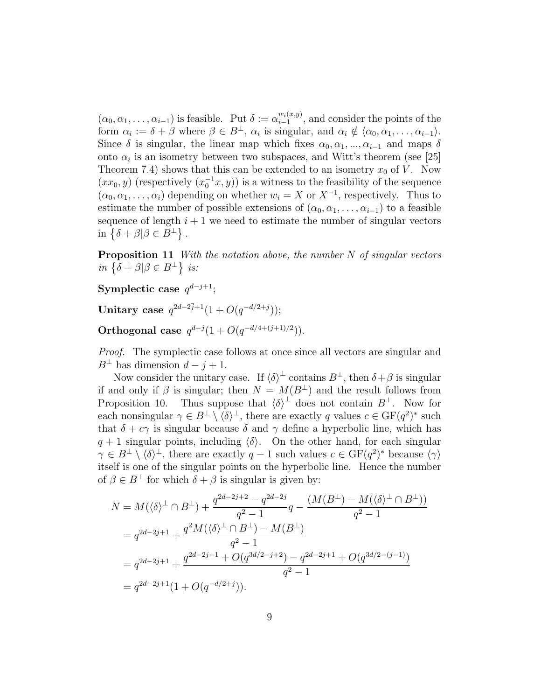$(\alpha_0, \alpha_1, \ldots, \alpha_{i-1})$  is feasible. Put  $\delta := \alpha_{i-1}^{w_i(x,y)}$  $\frac{w_i(x,y)}{i-1}$ , and consider the points of the form  $\alpha_i := \delta + \beta$  where  $\beta \in B^{\perp}$ ,  $\alpha_i$  is singular, and  $\alpha_i \notin \langle \alpha_0, \alpha_1, \ldots, \alpha_{i-1} \rangle$ . Since  $\delta$  is singular, the linear map which fixes  $\alpha_0, \alpha_1, ..., \alpha_{i-1}$  and maps  $\delta$ onto  $\alpha_i$  is an isometry between two subspaces, and Witt's theorem (see [25] Theorem 7.4) shows that this can be extended to an isometry  $x_0$  of V. Now  $(xx_0, y)$  (respectively  $(x_0^{-1}x, y)$ ) is a witness to the feasibility of the sequence  $(\alpha_0, \alpha_1, \ldots, \alpha_i)$  depending on whether  $w_i = X$  or  $X^{-1}$ , respectively. Thus to estimate the number of possible extensions of  $(\alpha_0, \alpha_1, \ldots, \alpha_{i-1})$  to a feasible sequence of length  $i + 1$  we need to estimate the number of singular vectors in  $\{\delta + \beta | \beta \in B^{\perp}\}\.$ 

**Proposition 11** With the notation above, the number  $N$  of singular vectors in  $\{\delta + \beta | \beta \in B^{\perp}\}\;$  is:

Symplectic case  $q^{d-j+1}$ ;

Unitary case  $q^{2d-2\bar{j}+1}(1+O(q^{-d/2+j}))$ ;

Orthogonal case  $q^{d-j}(1+O(q^{-d/4+(j+1)/2})).$ 

Proof. The symplectic case follows at once since all vectors are singular and  $B^{\perp}$  has dimension  $d - j + 1$ .

Now consider the unitary case. If  $\langle \delta \rangle^{\perp}$  contains  $B^{\perp}$ , then  $\delta + \beta$  is singular if and only if  $\beta$  is singular; then  $N = M(B^{\perp})$  and the result follows from Proposition 10. Thus suppose that  $\langle \delta \rangle^{\perp}$  does not contain  $B^{\perp}$ . Now for each nonsingular  $\gamma \in B^{\perp} \setminus \langle \delta \rangle^{\perp}$ , there are exactly q values  $c \in \mathrm{GF}(q^2)^*$  such that  $\delta + c\gamma$  is singular because  $\delta$  and  $\gamma$  define a hyperbolic line, which has  $q + 1$  singular points, including  $\langle \delta \rangle$ . On the other hand, for each singular  $\gamma \in B^{\perp} \setminus \langle \delta \rangle^{\perp}$ , there are exactly  $q-1$  such values  $c \in \mathrm{GF}(q^2)^*$  because  $\langle \gamma \rangle$ itself is one of the singular points on the hyperbolic line. Hence the number of  $\beta \in B^{\perp}$  for which  $\delta + \beta$  is singular is given by:

$$
N = M(\langle \delta \rangle^{\perp} \cap B^{\perp}) + \frac{q^{2d-2j+2} - q^{2d-2j}}{q^2 - 1}q - \frac{(M(B^{\perp}) - M(\langle \delta \rangle^{\perp} \cap B^{\perp}))}{q^2 - 1}
$$
  
=  $q^{2d-2j+1} + \frac{q^2 M(\langle \delta \rangle^{\perp} \cap B^{\perp}) - M(B^{\perp})}{q^2 - 1}$   
=  $q^{2d-2j+1} + \frac{q^{2d-2j+1} + O(q^{3d/2-j+2}) - q^{2d-2j+1} + O(q^{3d/2-(j-1)})}{q^2 - 1}$   
=  $q^{2d-2j+1}(1 + O(q^{-d/2+j})).$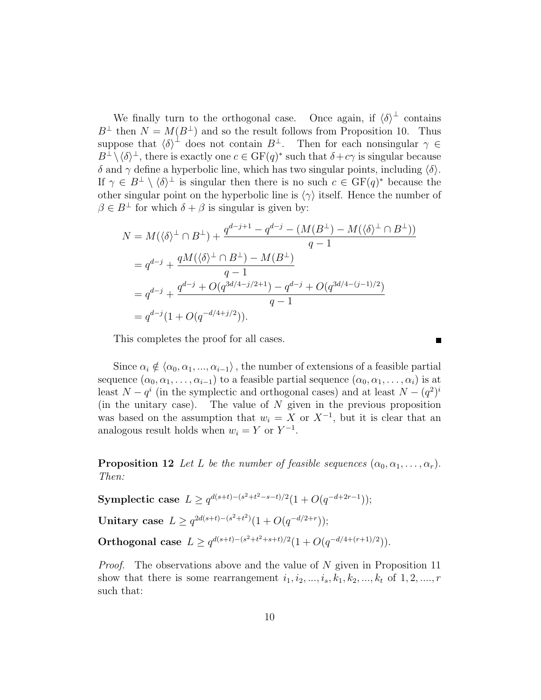We finally turn to the orthogonal case. Once again, if  $\langle \delta \rangle^{\perp}$  contains  $B^{\perp}$  then  $N = M(B^{\perp})$  and so the result follows from Proposition 10. Thus suppose that  $\langle \delta \rangle^{\perp}$  does not contain  $B^{\perp}$ . Then for each nonsingular  $\gamma \in$  $B^{\perp}\setminus\langle\delta\rangle^{\perp}$ , there is exactly one  $c \in \mathrm{GF}(q)^*$  such that  $\delta + c\gamma$  is singular because δ and  $\gamma$  define a hyperbolic line, which has two singular points, including  $\langle \delta \rangle$ . If  $\gamma \in B^{\perp} \setminus \langle \delta \rangle^{\perp}$  is singular then there is no such  $c \in \mathrm{GF}(q)^*$  because the other singular point on the hyperbolic line is  $\langle \gamma \rangle$  itself. Hence the number of  $\beta \in B^{\perp}$  for which  $\delta + \beta$  is singular is given by:

$$
N = M(\langle \delta \rangle^{\perp} \cap B^{\perp}) + \frac{q^{d-j+1} - q^{d-j} - (M(B^{\perp}) - M(\langle \delta \rangle^{\perp} \cap B^{\perp}))}{q-1}
$$
  
=  $q^{d-j} + \frac{qM(\langle \delta \rangle^{\perp} \cap B^{\perp}) - M(B^{\perp})}{q-1}$   
=  $q^{d-j} + \frac{q^{d-j} + O(q^{3d/4-j/2+1}) - q^{d-j} + O(q^{3d/4-(j-1)/2})}{q-1}$   
=  $q^{d-j}(1 + O(q^{-d/4+j/2})).$ 

This completes the proof for all cases.

Since  $\alpha_i \notin \langle \alpha_0, \alpha_1, ..., \alpha_{i-1} \rangle$ , the number of extensions of a feasible partial sequence  $(\alpha_0, \alpha_1, \ldots, \alpha_{i-1})$  to a feasible partial sequence  $(\alpha_0, \alpha_1, \ldots, \alpha_i)$  is at least  $N - q^i$  (in the symplectic and orthogonal cases) and at least  $N - (q^2)^i$ (in the unitary case). The value of  $N$  given in the previous proposition was based on the assumption that  $w_i = X$  or  $X^{-1}$ , but it is clear that an analogous result holds when  $w_i = Y$  or  $Y^{-1}$ .

**Proposition 12** Let L be the number of feasible sequences  $(\alpha_0, \alpha_1, \ldots, \alpha_r)$ . Then:

Symplectic case  $L \ge q^{d(s+t)-(s^2+t^2-s-t)/2}(1+O(q^{-d+2r-1}));$ Unitary case  $L \geq q^{2d(s+t)-(s^2+t^2)}(1+O(q^{-d/2+r}))$ ; Orthogonal case  $L \ge q^{d(s+t)-(s^2+t^2+s+t)/2}(1+O(q^{-d/4+(r+1)/2})).$ 

Proof. The observations above and the value of N given in Proposition 11 show that there is some rearrangement  $i_1, i_2, \ldots, i_s, k_1, k_2, \ldots, k_t$  of  $1, 2, \ldots, r$ such that: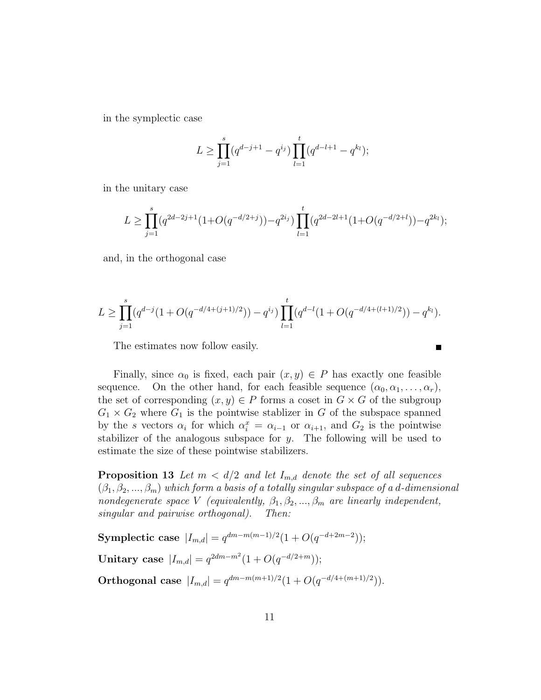in the symplectic case

$$
L \ge \prod_{j=1}^{s} (q^{d-j+1} - q^{i_j}) \prod_{l=1}^{t} (q^{d-l+1} - q^{k_l});
$$

in the unitary case

$$
L \ge \prod_{j=1}^s (q^{2d-2j+1}(1+O(q^{-d/2+j})) - q^{2i_j}) \prod_{l=1}^t (q^{2d-2l+1}(1+O(q^{-d/2+l})) - q^{2k_l});
$$

and, in the orthogonal case

$$
L \geq \prod_{j=1}^{s} (q^{d-j}(1+O(q^{-d/4+(j+1)/2})) - q^{i_j}) \prod_{l=1}^{t} (q^{d-l}(1+O(q^{-d/4+(l+1)/2})) - q^{k_l}).
$$

The estimates now follow easily.

Finally, since  $\alpha_0$  is fixed, each pair  $(x, y) \in P$  has exactly one feasible sequence. On the other hand, for each feasible sequence  $(\alpha_0, \alpha_1, \ldots, \alpha_r)$ , the set of corresponding  $(x, y) \in P$  forms a coset in  $G \times G$  of the subgroup  $G_1 \times G_2$  where  $G_1$  is the pointwise stablizer in G of the subspace spanned by the s vectors  $\alpha_i$  for which  $\alpha_i^x = \alpha_{i-1}$  or  $\alpha_{i+1}$ , and  $G_2$  is the pointwise stabilizer of the analogous subspace for  $y$ . The following will be used to estimate the size of these pointwise stabilizers.

**Proposition 13** Let  $m < d/2$  and let  $I_{m,d}$  denote the set of all sequences  $(\beta_1, \beta_2, ..., \beta_m)$  which form a basis of a totally singular subspace of a d-dimensional nondegenerate space V (equivalently,  $\beta_1, \beta_2, ..., \beta_m$  are linearly independent, singular and pairwise orthogonal). Then:

Symplectic case  $|I_{m,d}| = q^{dm-m(m-1)/2}(1+O(q^{-d+2m-2}))$ ; Unitary case  $|I_{m,d}| = q^{2dm-m^2}(1 + O(q^{-d/2+m}))$ ; Orthogonal case  $|I_{m,d}| = q^{dm-m(m+1)/2}(1+O(q^{-d/4+(m+1)/2})).$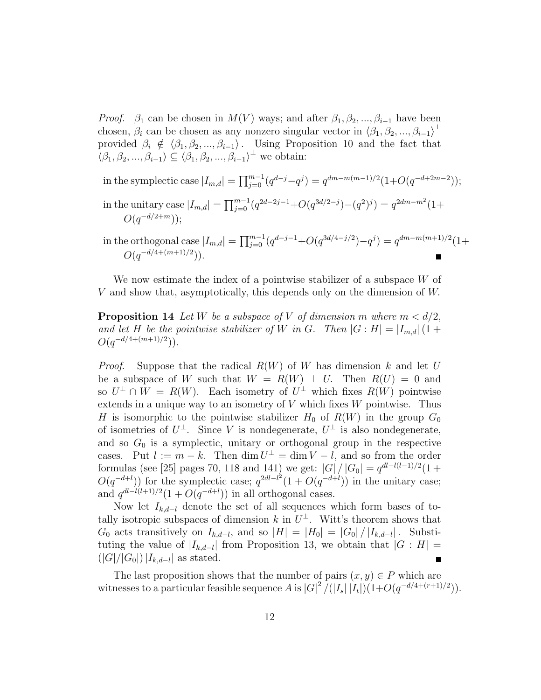*Proof.*  $\beta_1$  can be chosen in  $M(V)$  ways; and after  $\beta_1, \beta_2, ..., \beta_{i-1}$  have been chosen,  $\beta_i$  can be chosen as any nonzero singular vector in  $\langle \beta_1, \beta_2, ..., \beta_{i-1} \rangle$ <sup>⊥</sup> provided  $\beta_i \notin \langle \beta_1, \beta_2, ..., \beta_{i-1} \rangle$ . Using Proposition 10 and the fact that  $\langle \beta_1, \beta_2, ..., \beta_{i-1} \rangle \subseteq \langle \beta_1, \beta_2, ..., \beta_{i-1} \rangle^{\perp}$  we obtain:

in the symplectic case  $|I_{m,d}| = \prod_{j=0}^{m-1} (q^{d-j} - q^j) = q^{dm - m(m-1)/2} (1 + O(q^{-d+2m-2}))$ ; in the unitary case  $|I_{m,d}| = \prod_{j=0}^{m-1} (q^{2d-2j-1} + O(q^{3d/2-j}) - (q^2)^j) = q^{2dm-m^2}(1+$  $O(q^{-d/2+m}))$ ;

in the orthogonal case  $|I_{m,d}| = \prod_{j=0}^{m-1} (q^{d-j-1} + O(q^{3d/4-j/2}) - q^j) = q^{dm-m(m+1)/2}(1+$  $O(q^{-d/4+(m+1)/2}))$ .

We now estimate the index of a pointwise stabilizer of a subspace W of V and show that, asymptotically, this depends only on the dimension of W.

**Proposition 14** Let W be a subspace of V of dimension m where  $m < d/2$ , and let H be the pointwise stabilizer of W in G. Then  $|G:H| = |I_{m,d}|(1 +$  $O(q^{-d/4+(m+1)/2}))$ .

*Proof.* Suppose that the radical  $R(W)$  of W has dimension k and let U be a subspace of W such that  $W = R(W) \perp U$ . Then  $R(U) = 0$  and so  $U^{\perp} \cap W = R(W)$ . Each isometry of  $U^{\perp}$  which fixes  $R(W)$  pointwise extends in a unique way to an isometry of  $V$  which fixes  $W$  pointwise. Thus H is isomorphic to the pointwise stabilizer  $H_0$  of  $R(W)$  in the group  $G_0$ of isometries of  $U^{\perp}$ . Since V is nondegenerate,  $U^{\perp}$  is also nondegenerate, and so  $G_0$  is a symplectic, unitary or orthogonal group in the respective cases. Put  $l := m - k$ . Then  $\dim U^{\perp} = \dim V - l$ , and so from the order formulas (see [25] pages 70, 118 and 141) we get:  $|G| / |G_0| = q^{dl - l(l-1)/2} (1 +$  $O(q^{-d+l})$  for the symplectic case;  $q^{2dl-l^2}(1+O(q^{-d+l}))$  in the unitary case; and  $q^{dl-l(l+1)/2}(1+O(q^{-d+l}))$  in all orthogonal cases.

Now let  $I_{k,d-l}$  denote the set of all sequences which form bases of totally isotropic subspaces of dimension k in  $U^{\perp}$ . Witt's theorem shows that  $G_0$  acts transitively on  $I_{k,d-l}$ , and so  $|H| = |H_0| = |G_0| / |I_{k,d-l}|$ . Substituting the value of  $|I_{k,d-1}|$  from Proposition 13, we obtain that  $|G:H|=$  $(|G|/|G_0|)|I_{k,d-l}|$  as stated.  $\blacksquare$ 

The last proposition shows that the number of pairs  $(x, y) \in P$  which are witnesses to a particular feasible sequence A is  $|G|^2 / (|I_s||I_t|)(1+O(q^{-d/4+(r+1)/2}))$ .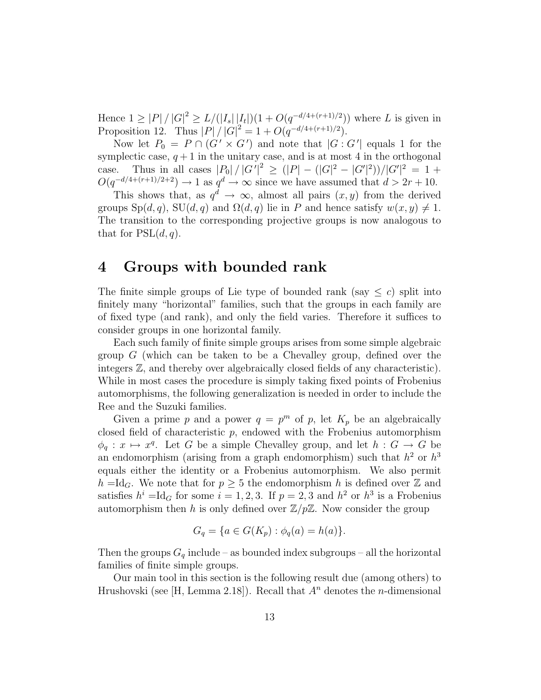Hence  $1 \geq |P| / |G|^2 \geq L / (|I_s||I_t|)(1 + O(q^{-d/4 + (r+1)/2}))$  where L is given in Proposition 12. Thus  $|P| / |G|^2 = 1 + O(q^{-d/4 + (r+1)/2})$ .

Now let  $P_0 = P \cap (G' \times G')$  and note that  $|G : G'|$  equals 1 for the symplectic case,  $q + 1$  in the unitary case, and is at most 4 in the orthogonal case. Thus in all cases  $|P_0|/|G'|^2 \ge (|P| - (|G|^2 - |G'|^2))/|G'|^2 = 1 +$  $O(q^{-d/4+(r+1)/2+2}) \to 1$  as  $q^d \to \infty$  since we have assumed that  $d > 2r + 10$ .

This shows that, as  $q^d \to \infty$ , almost all pairs  $(x, y)$  from the derived groups  $Sp(d, q)$ ,  $SU(d, q)$  and  $\Omega(d, q)$  lie in P and hence satisfy  $w(x, y) \neq 1$ . The transition to the corresponding projective groups is now analogous to that for  $PSL(d, q)$ .

### 4 Groups with bounded rank

The finite simple groups of Lie type of bounded rank (say  $\leq c$ ) split into finitely many "horizontal" families, such that the groups in each family are of fixed type (and rank), and only the field varies. Therefore it suffices to consider groups in one horizontal family.

Each such family of finite simple groups arises from some simple algebraic group  $G$  (which can be taken to be a Chevalley group, defined over the integers Z, and thereby over algebraically closed fields of any characteristic). While in most cases the procedure is simply taking fixed points of Frobenius automorphisms, the following generalization is needed in order to include the Ree and the Suzuki families.

Given a prime p and a power  $q = p^m$  of p, let  $K_p$  be an algebraically closed field of characteristic  $p$ , endowed with the Frobenius automorphism  $\phi_q : x \mapsto x^q$ . Let G be a simple Chevalley group, and let  $h : G \to G$  be an endomorphism (arising from a graph endomorphism) such that  $h^2$  or  $h^3$ equals either the identity or a Frobenius automorphism. We also permit  $h = \text{Id}_G$ . We note that for  $p \geq 5$  the endomorphism h is defined over Z and satisfies  $h^{i} = \text{Id}_{G}$  for some  $i = 1, 2, 3$ . If  $p = 2, 3$  and  $h^{2}$  or  $h^{3}$  is a Frobenius automorphism then h is only defined over  $\mathbb{Z}/p\mathbb{Z}$ . Now consider the group

$$
G_q = \{ a \in G(K_p) : \phi_q(a) = h(a) \}.
$$

Then the groups  $G_q$  include – as bounded index subgroups – all the horizontal families of finite simple groups.

Our main tool in this section is the following result due (among others) to Hrushovski (see [H, Lemma 2.18]). Recall that  $A^n$  denotes the *n*-dimensional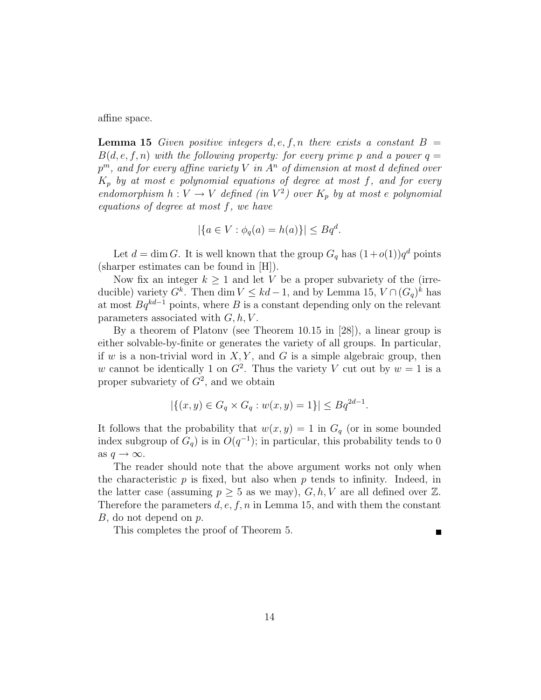affine space.

**Lemma 15** Given positive integers d, e, f, n there exists a constant  $B =$  $B(d, e, f, n)$  with the following property: for every prime p and a power  $q =$  $p^m,\ and\ for\ every\ affine\ variety\ V\ in\ A^n\ of\ dimension\ at\ most\ d\ defined\ over$  $K_p$  by at most e polynomial equations of degree at most f, and for every endomorphism  $h: V \to V$  defined (in  $V^2$ ) over  $K_p$  by at most e polynomial equations of degree at most f, we have

$$
|\{a \in V : \phi_q(a) = h(a)\}| \le Bq^d.
$$

Let  $d = \dim G$ . It is well known that the group  $G_q$  has  $(1+o(1))q^d$  points (sharper estimates can be found in [H]).

Now fix an integer  $k \geq 1$  and let V be a proper subvariety of the (irreducible) variety  $G^k$ . Then dim  $V \leq kd - 1$ , and by Lemma 15,  $V \cap (G_q)^k$  has at most  $Bq^{kd-1}$  points, where B is a constant depending only on the relevant parameters associated with  $G, h, V$ .

By a theorem of Platonv (see Theorem 10.15 in [28]), a linear group is either solvable-by-finite or generates the variety of all groups. In particular, if w is a non-trivial word in  $X, Y$ , and G is a simple algebraic group, then w cannot be identically 1 on  $G^2$ . Thus the variety V cut out by  $w = 1$  is a proper subvariety of  $G^2$ , and we obtain

$$
|\{(x,y)\in G_q\times G_q:w(x,y)=1\}|\le Bq^{2d-1}.
$$

It follows that the probability that  $w(x, y) = 1$  in  $G<sub>q</sub>$  (or in some bounded index subgroup of  $G_q$ ) is in  $O(q^{-1})$ ; in particular, this probability tends to 0 as  $q \to \infty$ .

The reader should note that the above argument works not only when the characteristic  $p$  is fixed, but also when  $p$  tends to infinity. Indeed, in the latter case (assuming  $p \geq 5$  as we may),  $G, h, V$  are all defined over  $\mathbb{Z}$ . Therefore the parameters  $d, e, f, n$  in Lemma 15, and with them the constant B, do not depend on p.

This completes the proof of Theorem 5.

П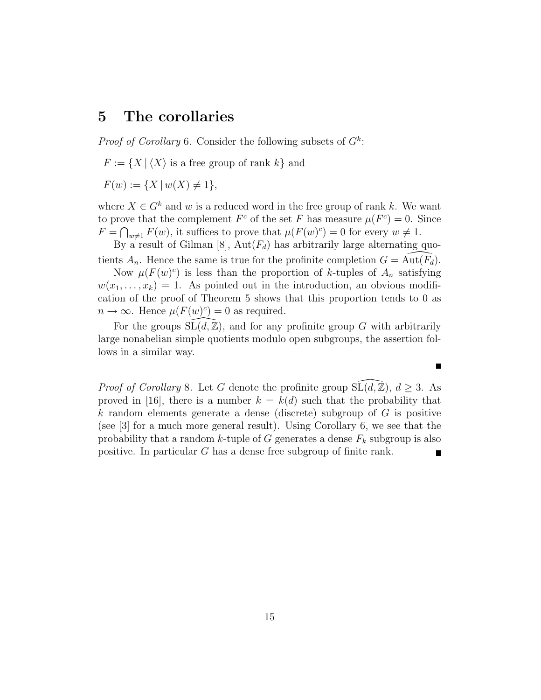### 5 The corollaries

*Proof of Corollary* 6. Consider the following subsets of  $G^k$ :

 $F := \{X \mid \langle X \rangle \text{ is a free group of rank } k\}$  and

 $F(w) := \{ X \mid w(X) \neq 1 \},\$ 

where  $X \in G^k$  and w is a reduced word in the free group of rank k. We want to prove that the complement  $F^c$  of the set F has measure  $\mu(F^c) = 0$ . Since  $F = \bigcap_{w \neq 1} F(w)$ , it suffices to prove that  $\mu(F(w)^c) = 0$  for every  $w \neq 1$ .

By a result of Gilman [8],  $Aut(F_d)$  has arbitrarily large alternating quotients  $A_n$ . Hence the same is true for the profinite completion  $G = \widehat{\text{Aut}(\mathbb{F}_d)}$ .

Now  $\mu(F(w)^c)$  is less than the proportion of k-tuples of  $A_n$  satisfying  $w(x_1, \ldots, x_k) = 1$ . As pointed out in the introduction, an obvious modification of the proof of Theorem 5 shows that this proportion tends to 0 as  $n \to \infty$ . Hence  $\mu(F(w)^c) = 0$  as required.

For the groups  $\tilde{SL}(d,\mathbb{Z})$ , and for any profinite group G with arbitrarily large nonabelian simple quotients modulo open subgroups, the assertion follows in a similar way.

 $\blacksquare$ 

*Proof of Corollary* 8. Let G denote the profinite group  $\widetilde{\mathrm{SL}(d,\mathbb{Z})}$ ,  $d \geq 3$ . As proved in [16], there is a number  $k = k(d)$  such that the probability that k random elements generate a dense (discrete) subgroup of  $G$  is positive (see [3] for a much more general result). Using Corollary 6, we see that the probability that a random k-tuple of G generates a dense  $F_k$  subgroup is also positive. In particular G has a dense free subgroup of finite rank.

15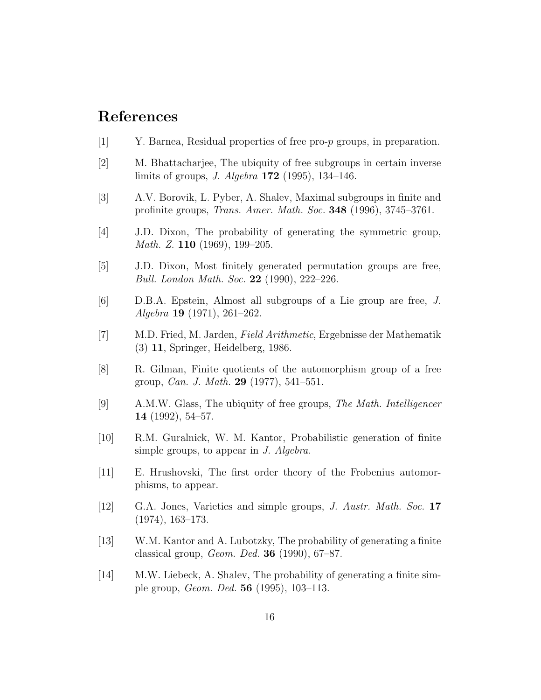# References

- [1] Y. Barnea, Residual properties of free pro-p groups, in preparation.
- [2] M. Bhattacharjee, The ubiquity of free subgroups in certain inverse limits of groups, J. Algebra 172 (1995), 134–146.
- [3] A.V. Borovik, L. Pyber, A. Shalev, Maximal subgroups in finite and profinite groups, Trans. Amer. Math. Soc. 348 (1996), 3745–3761.
- [4] J.D. Dixon, The probability of generating the symmetric group, Math. Z. **110** (1969), 199–205.
- [5] J.D. Dixon, Most finitely generated permutation groups are free, Bull. London Math. Soc. 22 (1990), 222–226.
- [6] D.B.A. Epstein, Almost all subgroups of a Lie group are free, J. Algebra 19 (1971), 261–262.
- [7] M.D. Fried, M. Jarden, Field Arithmetic, Ergebnisse der Mathematik (3) 11, Springer, Heidelberg, 1986.
- [8] R. Gilman, Finite quotients of the automorphism group of a free group, Can. J. Math. 29 (1977), 541–551.
- [9] A.M.W. Glass, The ubiquity of free groups, The Math. Intelligencer 14 (1992), 54–57.
- [10] R.M. Guralnick, W. M. Kantor, Probabilistic generation of finite simple groups, to appear in J. Algebra.
- [11] E. Hrushovski, The first order theory of the Frobenius automorphisms, to appear.
- [12] G.A. Jones, Varieties and simple groups, J. Austr. Math. Soc. 17 (1974), 163–173.
- [13] W.M. Kantor and A. Lubotzky, The probability of generating a finite classical group, Geom. Ded. 36 (1990), 67–87.
- [14] M.W. Liebeck, A. Shalev, The probability of generating a finite simple group, Geom. Ded. 56 (1995), 103–113.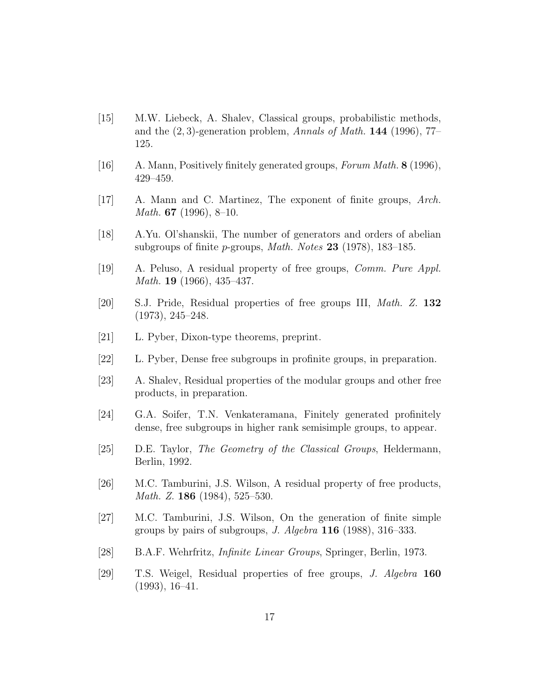- [15] M.W. Liebeck, A. Shalev, Classical groups, probabilistic methods, and the  $(2, 3)$ -generation problem, Annals of Math. **144** (1996), 77– 125.
- [16] A. Mann, Positively finitely generated groups, Forum Math. 8 (1996), 429–459.
- [17] A. Mann and C. Martinez, The exponent of finite groups, Arch. Math. 67 (1996), 8–10.
- [18] A.Yu. Ol'shanskii, The number of generators and orders of abelian subgroups of finite p-groups, Math. Notes 23 (1978), 183–185.
- [19] A. Peluso, A residual property of free groups, Comm. Pure Appl. Math. 19 (1966), 435–437.
- [20] S.J. Pride, Residual properties of free groups III, Math. Z. 132 (1973), 245–248.
- [21] L. Pyber, Dixon-type theorems, preprint.
- [22] L. Pyber, Dense free subgroups in profinite groups, in preparation.
- [23] A. Shalev, Residual properties of the modular groups and other free products, in preparation.
- [24] G.A. Soifer, T.N. Venkateramana, Finitely generated profinitely dense, free subgroups in higher rank semisimple groups, to appear.
- [25] D.E. Taylor, The Geometry of the Classical Groups, Heldermann, Berlin, 1992.
- [26] M.C. Tamburini, J.S. Wilson, A residual property of free products, Math. Z. **186** (1984), 525–530.
- [27] M.C. Tamburini, J.S. Wilson, On the generation of finite simple groups by pairs of subgroups,  $J.$  Algebra **116** (1988), 316–333.
- [28] B.A.F. Wehrfritz, Infinite Linear Groups, Springer, Berlin, 1973.
- [29] T.S. Weigel, Residual properties of free groups, J. Algebra 160 (1993), 16–41.